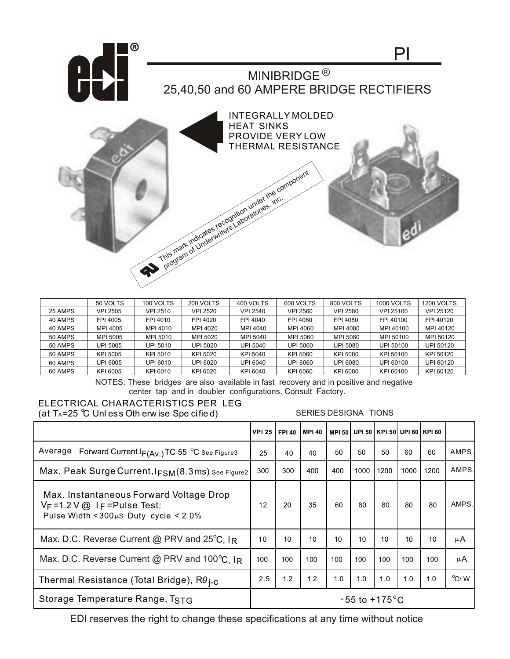

|         | 50 VOLTS        | 100 VOLTS | 200 VOLTS | 400 VOLTS       | 600 VOLTS       | 800 VOLTS       | <b>1000 VOLTS</b> | <b>1200 VOLTS</b> |
|---------|-----------------|-----------|-----------|-----------------|-----------------|-----------------|-------------------|-------------------|
| 25 AMPS | <b>VPI 2505</b> | VPI 2510  | VPI 2520  | VPI 2540        | <b>VPI 2560</b> | <b>VPI 2580</b> | <b>VPI 25100</b>  | VPI 25120         |
| 40 AMPS | FPI 4005        | FPI 4010  | FPI 4020  | FPI 4040        | FPI 4060        | FPI 4080        | FPI 40100         | FPI 40120         |
| 40 AMPS | MPI 4005        | MPI 4010  | MPI 4020  | MPI 4040        | MPI 4060        | MPI 4080        | MPI 40100         | MPI 40120         |
| 50 AMPS | MPI 5005        | MPI 5010  | MPI 5020  | MPI 5040        | MPI 5060        | MPI 5080        | MPI 50100         | MPI 50120         |
| 50 AMPS | UPI 5005        | UPI 5010  | UPI 5020  | <b>UPI 5040</b> | UPI 5060        | UPI 5080        | UPI 50100         | UPI 50120         |
| 50 AMPS | KPI 5005        | KPI 5010  | KPI 5020  | KPI 5040        | KPI 5060        | KPI 5080        | KPI 50100         | KPI 50120         |
| 60 AMPS | UPI 6005        | UPI 6010  | UPI 6020  | UPI 6040        | UPI 6060        | UPI 6080        | UPI 60100         | UPI 60120         |
| 60 AMPS | KPI 6005        | KPI 6010  | KPI 6020  | KPI 6040        | KPI 6060        | KPI 6080        | KPI 60100         | KPI 60120         |

NOTES: These bridges are also available in fast recovery and in positive and negative center tap and in doubler configurations. Consult Factory.

## ELECTRICAL CHARACTERISTICS PER LEG (at  $T_A = 25$  °C Unl ess Oth erw ise Spe cified)

SERIES DESIGNA TIONS

|                                                                                                                                  | <b>VPI 25 1</b> | <b>FPI 40</b>             | <b>MPI 40</b> |     | MPI 50 UPI 50 KPI 50 UPI 60 KPI 60 |      |                 |      |                |  |
|----------------------------------------------------------------------------------------------------------------------------------|-----------------|---------------------------|---------------|-----|------------------------------------|------|-----------------|------|----------------|--|
| Average Forward Current. $I_{F(Av.)}$ TC 55 °C See Figure3                                                                       | 25              | 40                        | 40            | 50  | 50                                 | 50   | 60              | 60   | AMPS.          |  |
| Max. Peak Surge Current, IFSM(8.3ms) See Figure2                                                                                 | 300             | 300                       | 400           | 400 | 1000                               | 1200 | 1000            | 1200 | AMPS.          |  |
| Max. Instantaneous Forward Voltage Drop<br>$V_F = 1.2 V @$ I $_F =$ Pulse Test:<br>Pulse Width < $300\mu$ S Duty cycle < $2.0\%$ | 12              | 20                        | 35            | 60  | 80                                 | 80   | 80              | 80   | AMPS.          |  |
| Max. D.C. Reverse Current @ PRV and $25^{\circ}$ C, IR                                                                           |                 | 10                        | 10            | 10  | 10                                 | 10   | 10 <sup>1</sup> | 10   | μA             |  |
| Max. D.C. Reverse Current @ PRV and 100 $^{\circ}$ C, IR                                                                         |                 | 100                       | 100           | 100 | 100                                | 100  | 100             | 100  | μA             |  |
| Thermal Resistance (Total Bridge), $R\theta_{I-C}$                                                                               |                 | 1.2                       | 1.2           | 1.0 | 1.0                                | 1.0  | 1.0             | 1.0  | $\rm ^{o}C/$ W |  |
| Storage Temperature Range, TSTG                                                                                                  |                 | $-55$ to $+175^{\circ}$ C |               |     |                                    |      |                 |      |                |  |

EDI reserves the right to change these specifications at any time without notice